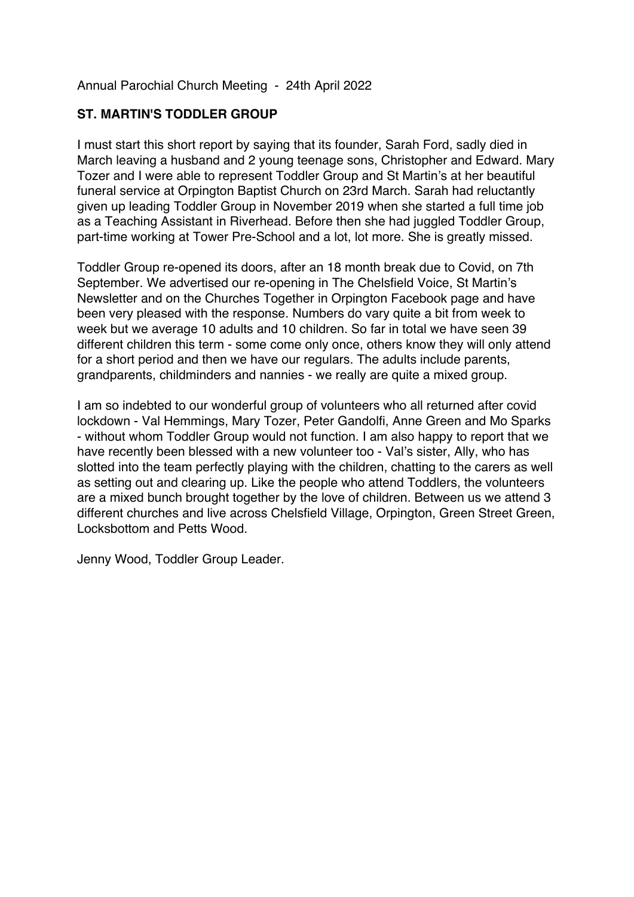Annual Parochial Church Meeting - 24th April 2022

## **ST. MARTIN'S TODDLER GROUP**

I must start this short report by saying that its founder, Sarah Ford, sadly died in March leaving a husband and 2 young teenage sons, Christopher and Edward. Mary Tozer and I were able to represent Toddler Group and St Martin's at her beautiful funeral service at Orpington Baptist Church on 23rd March. Sarah had reluctantly given up leading Toddler Group in November 2019 when she started a full time job as a Teaching Assistant in Riverhead. Before then she had juggled Toddler Group, part-time working at Tower Pre-School and a lot, lot more. She is greatly missed.

Toddler Group re-opened its doors, after an 18 month break due to Covid, on 7th September. We advertised our re-opening in The Chelsfield Voice, St Martin's Newsletter and on the Churches Together in Orpington Facebook page and have been very pleased with the response. Numbers do vary quite a bit from week to week but we average 10 adults and 10 children. So far in total we have seen 39 different children this term - some come only once, others know they will only attend for a short period and then we have our regulars. The adults include parents, grandparents, childminders and nannies - we really are quite a mixed group.

I am so indebted to our wonderful group of volunteers who all returned after covid lockdown - Val Hemmings, Mary Tozer, Peter Gandolfi, Anne Green and Mo Sparks - without whom Toddler Group would not function. I am also happy to report that we have recently been blessed with a new volunteer too - Val's sister, Ally, who has slotted into the team perfectly playing with the children, chatting to the carers as well as setting out and clearing up. Like the people who attend Toddlers, the volunteers are a mixed bunch brought together by the love of children. Between us we attend 3 different churches and live across Chelsfield Village, Orpington, Green Street Green, Locksbottom and Petts Wood.

Jenny Wood, Toddler Group Leader.